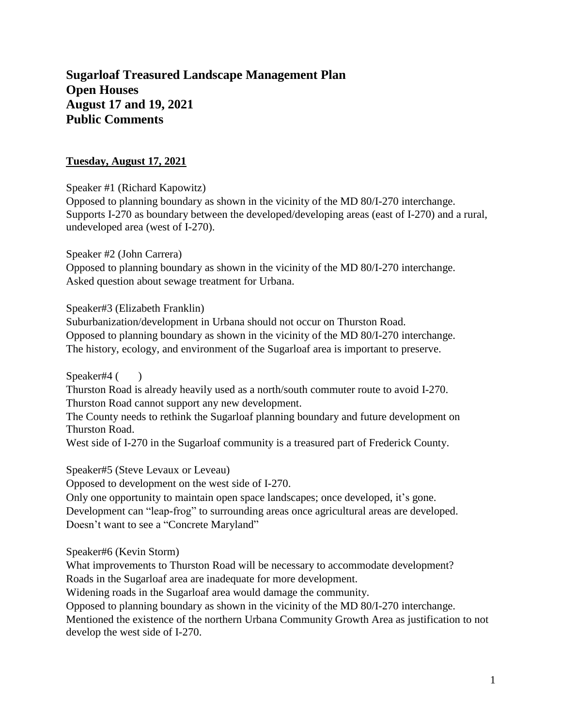# **Sugarloaf Treasured Landscape Management Plan Open Houses August 17 and 19, 2021 Public Comments**

# **Tuesday, August 17, 2021**

Speaker #1 (Richard Kapowitz)

Opposed to planning boundary as shown in the vicinity of the MD 80/I-270 interchange. Supports I-270 as boundary between the developed/developing areas (east of I-270) and a rural, undeveloped area (west of I-270).

Speaker #2 (John Carrera)

Opposed to planning boundary as shown in the vicinity of the MD 80/I-270 interchange. Asked question about sewage treatment for Urbana.

Speaker#3 (Elizabeth Franklin)

Suburbanization/development in Urbana should not occur on Thurston Road. Opposed to planning boundary as shown in the vicinity of the MD 80/I-270 interchange. The history, ecology, and environment of the Sugarloaf area is important to preserve.

Speaker#4 ()

Thurston Road is already heavily used as a north/south commuter route to avoid I-270. Thurston Road cannot support any new development.

The County needs to rethink the Sugarloaf planning boundary and future development on Thurston Road.

West side of I-270 in the Sugarloaf community is a treasured part of Frederick County.

Speaker#5 (Steve Levaux or Leveau)

Opposed to development on the west side of I-270.

Only one opportunity to maintain open space landscapes; once developed, it's gone. Development can "leap-frog" to surrounding areas once agricultural areas are developed. Doesn't want to see a "Concrete Maryland"

Speaker#6 (Kevin Storm)

What improvements to Thurston Road will be necessary to accommodate development? Roads in the Sugarloaf area are inadequate for more development.

Widening roads in the Sugarloaf area would damage the community.

Opposed to planning boundary as shown in the vicinity of the MD 80/I-270 interchange.

Mentioned the existence of the northern Urbana Community Growth Area as justification to not develop the west side of I-270.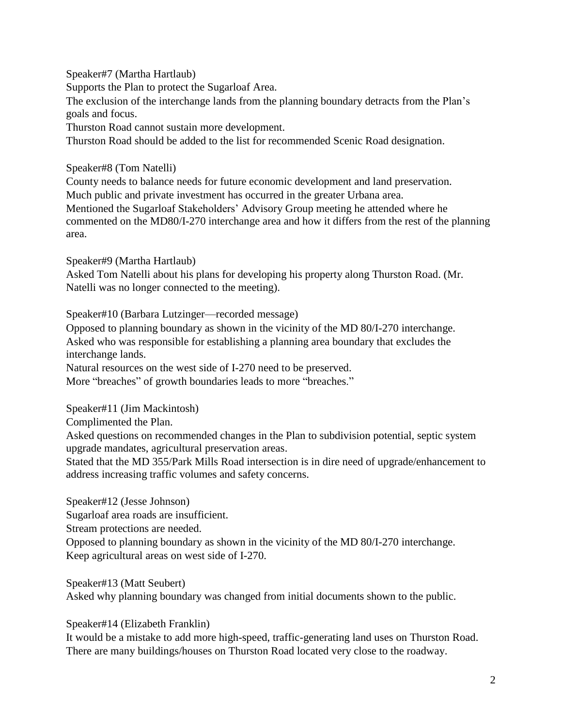Speaker#7 (Martha Hartlaub) Supports the Plan to protect the Sugarloaf Area. The exclusion of the interchange lands from the planning boundary detracts from the Plan's goals and focus. Thurston Road cannot sustain more development. Thurston Road should be added to the list for recommended Scenic Road designation.

Speaker#8 (Tom Natelli)

County needs to balance needs for future economic development and land preservation. Much public and private investment has occurred in the greater Urbana area.

Mentioned the Sugarloaf Stakeholders' Advisory Group meeting he attended where he commented on the MD80/I-270 interchange area and how it differs from the rest of the planning area.

Speaker#9 (Martha Hartlaub) Asked Tom Natelli about his plans for developing his property along Thurston Road. (Mr. Natelli was no longer connected to the meeting).

Speaker#10 (Barbara Lutzinger—recorded message)

Opposed to planning boundary as shown in the vicinity of the MD 80/I-270 interchange. Asked who was responsible for establishing a planning area boundary that excludes the interchange lands.

Natural resources on the west side of I-270 need to be preserved.

More "breaches" of growth boundaries leads to more "breaches."

Speaker#11 (Jim Mackintosh)

Complimented the Plan.

Asked questions on recommended changes in the Plan to subdivision potential, septic system upgrade mandates, agricultural preservation areas.

Stated that the MD 355/Park Mills Road intersection is in dire need of upgrade/enhancement to address increasing traffic volumes and safety concerns.

Speaker#12 (Jesse Johnson)

Sugarloaf area roads are insufficient.

Stream protections are needed.

Opposed to planning boundary as shown in the vicinity of the MD 80/I-270 interchange. Keep agricultural areas on west side of I-270.

Speaker#13 (Matt Seubert)

Asked why planning boundary was changed from initial documents shown to the public.

Speaker#14 (Elizabeth Franklin)

It would be a mistake to add more high-speed, traffic-generating land uses on Thurston Road. There are many buildings/houses on Thurston Road located very close to the roadway.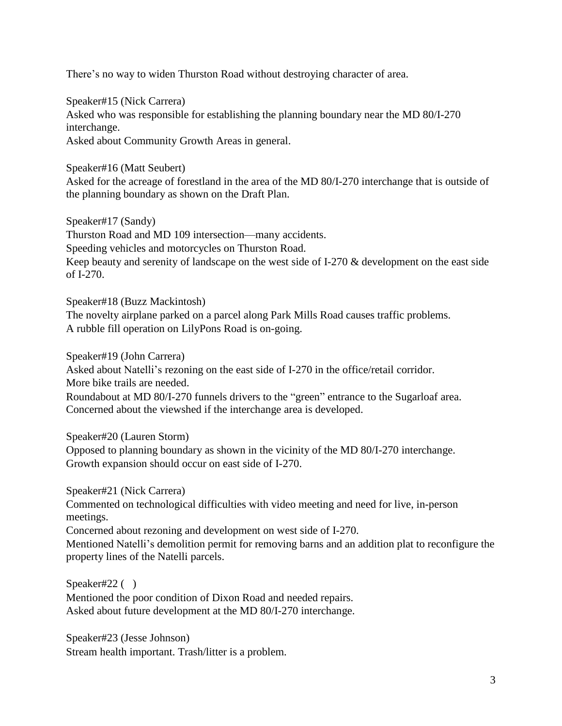There's no way to widen Thurston Road without destroying character of area.

Speaker#15 (Nick Carrera) Asked who was responsible for establishing the planning boundary near the MD 80/I-270 interchange. Asked about Community Growth Areas in general.

Speaker#16 (Matt Seubert)

Asked for the acreage of forestland in the area of the MD 80/I-270 interchange that is outside of the planning boundary as shown on the Draft Plan.

Speaker#17 (Sandy)

Thurston Road and MD 109 intersection—many accidents.

Speeding vehicles and motorcycles on Thurston Road.

Keep beauty and serenity of landscape on the west side of I-270 & development on the east side of I-270.

Speaker#18 (Buzz Mackintosh)

The novelty airplane parked on a parcel along Park Mills Road causes traffic problems. A rubble fill operation on LilyPons Road is on-going.

Speaker#19 (John Carrera)

Asked about Natelli's rezoning on the east side of I-270 in the office/retail corridor. More bike trails are needed.

Roundabout at MD 80/I-270 funnels drivers to the "green" entrance to the Sugarloaf area. Concerned about the viewshed if the interchange area is developed.

Speaker#20 (Lauren Storm)

Opposed to planning boundary as shown in the vicinity of the MD 80/I-270 interchange. Growth expansion should occur on east side of I-270.

Speaker#21 (Nick Carrera)

Commented on technological difficulties with video meeting and need for live, in-person meetings.

Concerned about rezoning and development on west side of I-270.

Mentioned Natelli's demolition permit for removing barns and an addition plat to reconfigure the property lines of the Natelli parcels.

Speaker#22 ( ) Mentioned the poor condition of Dixon Road and needed repairs. Asked about future development at the MD 80/I-270 interchange.

Speaker#23 (Jesse Johnson) Stream health important. Trash/litter is a problem.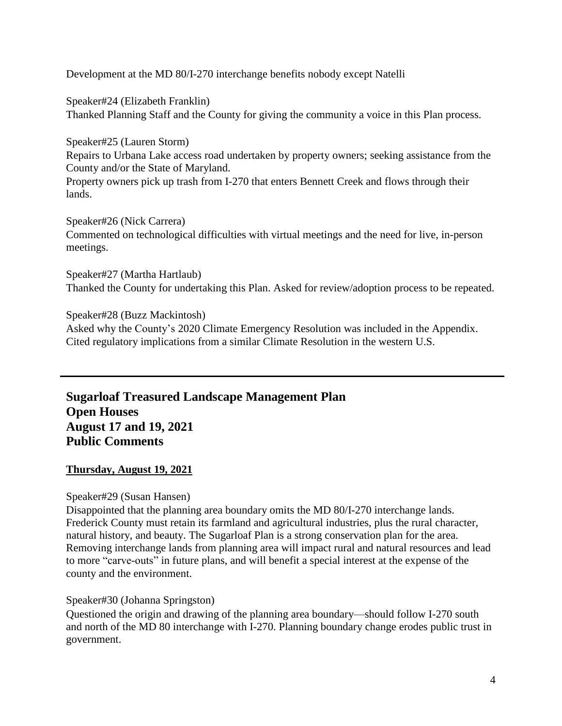Development at the MD 80/I-270 interchange benefits nobody except Natelli

Speaker#24 (Elizabeth Franklin) Thanked Planning Staff and the County for giving the community a voice in this Plan process.

Speaker#25 (Lauren Storm) Repairs to Urbana Lake access road undertaken by property owners; seeking assistance from the County and/or the State of Maryland.

Property owners pick up trash from I-270 that enters Bennett Creek and flows through their lands.

Speaker#26 (Nick Carrera) Commented on technological difficulties with virtual meetings and the need for live, in-person meetings.

Speaker#27 (Martha Hartlaub) Thanked the County for undertaking this Plan. Asked for review/adoption process to be repeated.

Speaker#28 (Buzz Mackintosh) Asked why the County's 2020 Climate Emergency Resolution was included in the Appendix. Cited regulatory implications from a similar Climate Resolution in the western U.S.

**Sugarloaf Treasured Landscape Management Plan Open Houses August 17 and 19, 2021 Public Comments**

# **Thursday, August 19, 2021**

# Speaker#29 (Susan Hansen)

Disappointed that the planning area boundary omits the MD 80/I-270 interchange lands. Frederick County must retain its farmland and agricultural industries, plus the rural character, natural history, and beauty. The Sugarloaf Plan is a strong conservation plan for the area. Removing interchange lands from planning area will impact rural and natural resources and lead to more "carve-outs" in future plans, and will benefit a special interest at the expense of the county and the environment.

# Speaker#30 (Johanna Springston)

Questioned the origin and drawing of the planning area boundary—should follow I-270 south and north of the MD 80 interchange with I-270. Planning boundary change erodes public trust in government.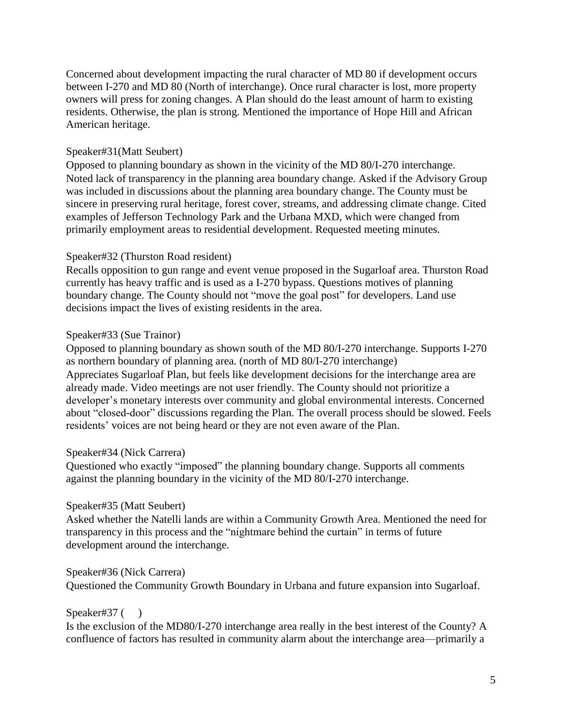Concerned about development impacting the rural character of MD 80 if development occurs between I-270 and MD 80 (North of interchange). Once rural character is lost, more property owners will press for zoning changes. A Plan should do the least amount of harm to existing residents. Otherwise, the plan is strong. Mentioned the importance of Hope Hill and African American heritage.

### Speaker#31(Matt Seubert)

Opposed to planning boundary as shown in the vicinity of the MD 80/I-270 interchange. Noted lack of transparency in the planning area boundary change. Asked if the Advisory Group was included in discussions about the planning area boundary change. The County must be sincere in preserving rural heritage, forest cover, streams, and addressing climate change. Cited examples of Jefferson Technology Park and the Urbana MXD, which were changed from primarily employment areas to residential development. Requested meeting minutes.

#### Speaker#32 (Thurston Road resident)

Recalls opposition to gun range and event venue proposed in the Sugarloaf area. Thurston Road currently has heavy traffic and is used as a I-270 bypass. Questions motives of planning boundary change. The County should not "move the goal post" for developers. Land use decisions impact the lives of existing residents in the area.

#### Speaker#33 (Sue Trainor)

Opposed to planning boundary as shown south of the MD 80/I-270 interchange. Supports I-270 as northern boundary of planning area. (north of MD 80/I-270 interchange) Appreciates Sugarloaf Plan, but feels like development decisions for the interchange area are already made. Video meetings are not user friendly. The County should not prioritize a developer's monetary interests over community and global environmental interests. Concerned about "closed-door" discussions regarding the Plan. The overall process should be slowed. Feels residents' voices are not being heard or they are not even aware of the Plan.

#### Speaker#34 (Nick Carrera)

Questioned who exactly "imposed" the planning boundary change. Supports all comments against the planning boundary in the vicinity of the MD 80/I-270 interchange.

#### Speaker#35 (Matt Seubert)

Asked whether the Natelli lands are within a Community Growth Area. Mentioned the need for transparency in this process and the "nightmare behind the curtain" in terms of future development around the interchange.

# Speaker#36 (Nick Carrera)

Questioned the Community Growth Boundary in Urbana and future expansion into Sugarloaf.

#### Speaker#37 ()

Is the exclusion of the MD80/I-270 interchange area really in the best interest of the County? A confluence of factors has resulted in community alarm about the interchange area—primarily a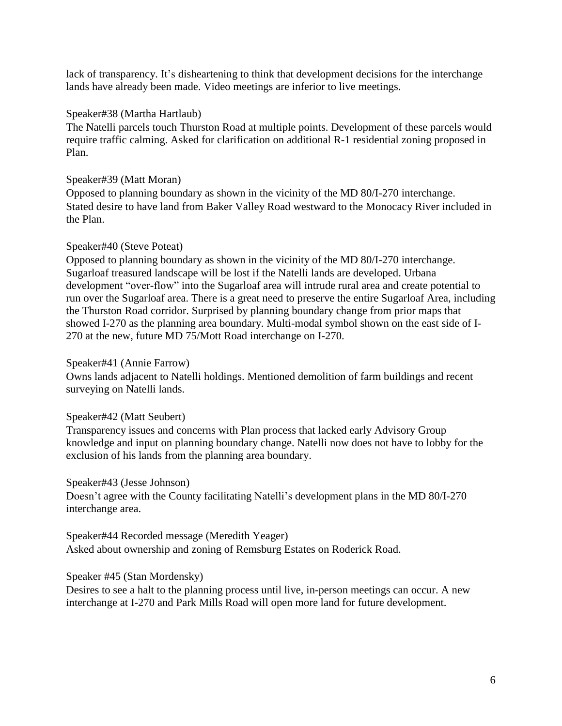lack of transparency. It's disheartening to think that development decisions for the interchange lands have already been made. Video meetings are inferior to live meetings.

### Speaker#38 (Martha Hartlaub)

The Natelli parcels touch Thurston Road at multiple points. Development of these parcels would require traffic calming. Asked for clarification on additional R-1 residential zoning proposed in Plan.

### Speaker#39 (Matt Moran)

Opposed to planning boundary as shown in the vicinity of the MD 80/I-270 interchange. Stated desire to have land from Baker Valley Road westward to the Monocacy River included in the Plan.

### Speaker#40 (Steve Poteat)

Opposed to planning boundary as shown in the vicinity of the MD 80/I-270 interchange. Sugarloaf treasured landscape will be lost if the Natelli lands are developed. Urbana development "over-flow" into the Sugarloaf area will intrude rural area and create potential to run over the Sugarloaf area. There is a great need to preserve the entire Sugarloaf Area, including the Thurston Road corridor. Surprised by planning boundary change from prior maps that showed I-270 as the planning area boundary. Multi-modal symbol shown on the east side of I-270 at the new, future MD 75/Mott Road interchange on I-270.

#### Speaker#41 (Annie Farrow)

Owns lands adjacent to Natelli holdings. Mentioned demolition of farm buildings and recent surveying on Natelli lands.

#### Speaker#42 (Matt Seubert)

Transparency issues and concerns with Plan process that lacked early Advisory Group knowledge and input on planning boundary change. Natelli now does not have to lobby for the exclusion of his lands from the planning area boundary.

#### Speaker#43 (Jesse Johnson)

Doesn't agree with the County facilitating Natelli's development plans in the MD 80/I-270 interchange area.

Speaker#44 Recorded message (Meredith Yeager) Asked about ownership and zoning of Remsburg Estates on Roderick Road.

# Speaker #45 (Stan Mordensky)

Desires to see a halt to the planning process until live, in-person meetings can occur. A new interchange at I-270 and Park Mills Road will open more land for future development.